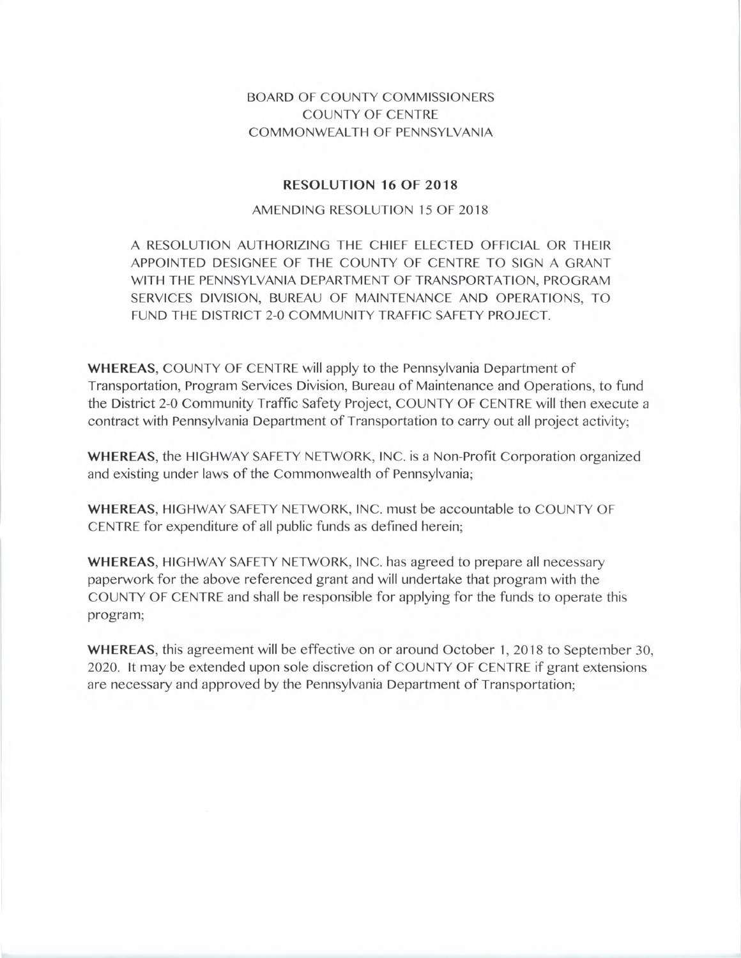## BOARD OF COUNTY COMMISSIONERS COUNTY OF CENTRE COMMONWEALTH OF PENNSYLVANIA

## **RESOLUTION 16 OF 2018**

## AMENDING RESOLUTION 15 OF 2018

A RESOLUTION AUTHORIZING THE CHIEF ELECTED OFFICIAL OR THEIR APPOINTED DESIGNEE OF THE COUNTY OF CENTRE TO SIGN A GRANT WITH THE PENNSYLVANIA DEPARTMENT OF TRANSPORTATION, PROGRAM SERVICES DIVISION, BUREAU OF MAINTENANCE AND OPERATIONS, TO FUND THE DISTRICT 2-0 COMMUNITY TRAFFIC SAFETY PROJECT.

**WHEREAS,** COUNTY OF CENTRE will apply to the Pennsylvania Department of Transportation, Program Services Division, Bureau of Maintenance and Operations, to fund the District 2-0 Community Traffic Safety Project, COUNTY OF CENTRE will then execute a contract with Pennsylvania Department of Transportation to carry out all project activity;

**WHEREAS,** the HIGHWAY SAFETY NETWORK, INC. is a Non-Profit Corporation organized and existing under laws of the Commonwealth of Pennsylvania;

**WHEREAS,** HIGHWAY SAFETY NETWORK, INC. must be accountable to COUNTY OF CENTRE for expenditure of all public funds as defined herein;

**WHEREAS,** HIGHWAY SAFETY NETWORK, INC. has agreed to prepare all necessary paperwork for the above referenced grant and will undertake that program with the COUNTY OF CENTRE and shall be responsible for applying for the funds to operate this program;

**WHEREAS,** this agreement will be effective on or around October 1, 2018 to September 30, 2020. It may be extended upon sole discretion of COUNTY OF CENTRE if grant extensions are necessary and approved by the Pennsylvania Department of Transportation;